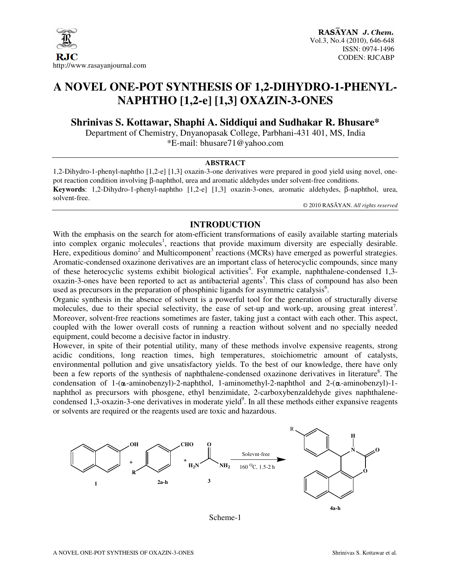

# **A NOVEL ONE-POT SYNTHESIS OF 1,2-DIHYDRO-1-PHENYL-NAPHTHO [1,2-e] [1,3] OXAZIN-3-ONES**

**Shrinivas S. Kottawar, Shaphi A. Siddiqui and Sudhakar R. Bhusare\*** 

Department of Chemistry, Dnyanopasak College, Parbhani-431 401, MS, India \*E-mail: bhusare71@yahoo.com

#### **ABSTRACT**

1,2-Dihydro-1-phenyl-naphtho [1,2-e] [1,3] oxazin-3-one derivatives were prepared in good yield using novel, onepot reaction condition involving β-naphthol, urea and aromatic aldehydes under solvent-free conditions. **Keywords**: 1,2-Dihydro-1-phenyl-naphtho [1,2-e] [1,3] oxazin-3-ones, aromatic aldehydes, β-naphthol, urea, solvent-free.

© 2010 RASĀYAN. *All rights reserved*

#### **INTRODUCTION**

With the emphasis on the search for atom-efficient transformations of easily available starting materials into complex organic molecules<sup>1</sup>, reactions that provide maximum diversity are especially desirable. Here, expeditious domino<sup>2</sup> and Multicomponent<sup>3</sup> reactions (MCRs) have emerged as powerful strategies. Aromatic-condensed oxazinone derivatives are an important class of heterocyclic compounds, since many of these heterocyclic systems exhibit biological activities<sup>4</sup>. For example, naphthalene-condensed 1,3oxazin-3-ones have been reported to act as antibacterial agents<sup>5</sup>. This class of compound has also been used as precursors in the preparation of phosphinic ligands for asymmetric catalysis<sup>6</sup>.

Organic synthesis in the absence of solvent is a powerful tool for the generation of structurally diverse molecules, due to their special selectivity, the ease of set-up and work-up, arousing great interest<sup>7</sup>. Moreover, solvent-free reactions sometimes are faster, taking just a contact with each other. This aspect, coupled with the lower overall costs of running a reaction without solvent and no specially needed equipment, could become a decisive factor in industry.

However, in spite of their potential utility, many of these methods involve expensive reagents, strong acidic conditions, long reaction times, high temperatures, stoichiometric amount of catalysts, environmental pollution and give unsatisfactory yields. To the best of our knowledge, there have only been a few reports of the synthesis of naphthalene-condensed oxazinone derivatives in literature<sup>8</sup>. The condensation of 1- $(\alpha$ -aminobenzyl)-2-naphthol, 1-aminomethyl-2-naphthol and 2- $(\alpha$ -aminobenzyl)-1naphthol as precursors with phosgene, ethyl benzimidate, 2-carboxybenzaldehyde gives naphthalenecondensed 1,3-oxazin-3-one derivatives in moderate yield<sup>9</sup>. In all these methods either expansive reagents or solvents are required or the reagents used are toxic and hazardous.



Scheme-1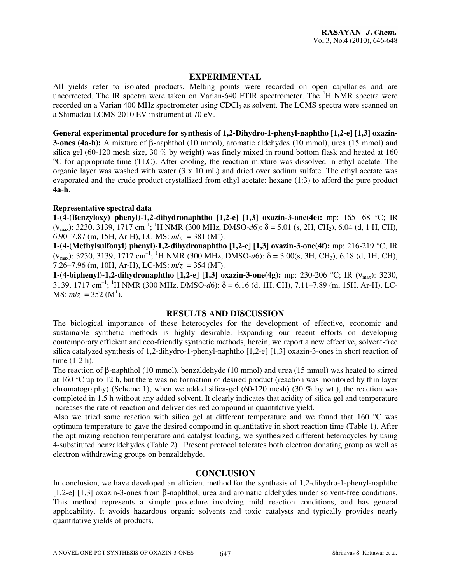# **EXPERIMENTAL**

All yields refer to isolated products. Melting points were recorded on open capillaries and are uncorrected. The IR spectra were taken on Varian-640 FTIR spectrometer. The  $H$  NMR spectra were recorded on a Varian 400 MHz spectrometer using CDCl<sub>3</sub> as solvent. The LCMS spectra were scanned on a Shimadzu LCMS-2010 EV instrument at 70 eV.

**General experimental procedure for synthesis of 1,2-Dihydro-1-phenyl-naphtho [1,2-e] [1,3] oxazin-3-ones (4a-h):** A mixture of β-naphthol (10 mmol), aromatic aldehydes (10 mmol), urea (15 mmol) and silica gel (60-120 mesh size, 30 % by weight) was finely mixed in round bottom flask and heated at 160 °C for appropriate time (TLC). After cooling, the reaction mixture was dissolved in ethyl acetate. The organic layer was washed with water (3 x 10 mL) and dried over sodium sulfate. The ethyl acetate was evaporated and the crude product crystallized from ethyl acetate: hexane (1:3) to afford the pure product **4a-h**.

## **Representative spectral data**

**1-(4-(Benzyloxy) phenyl)-1,2-dihydronaphtho [1,2-e] [1,3] oxazin-3-one(4e):** mp: 165-168 °C; IR ( $v_{\text{max}}$ ): 3230, 3139, 1717 cm<sup>-1</sup>; <sup>1</sup>H NMR (300 MHz, DMSO-d6):  $\delta$  = 5.01 (s, 2H, CH<sub>2</sub>), 6.04 (d, 1 H, CH), 6.90–7.87 (m, 15H, Ar-H), LC-MS:  $m/z = 381$  (M<sup>+</sup>).

**1-(4-(Methylsulfonyl) phenyl)-1,2-dihydronaphtho [1,2-e] [1,3] oxazin-3-one(4f):** mp: 216-219 °C; IR (νmax): 3230, 3139, 1717 cm–1; <sup>1</sup>H NMR (300 MHz, DMSO-*d*6): δ = 3.00(s, 3H, CH3), 6.18 (d, 1H, CH), 7.26–7.96 (m, 10H, Ar-H), LC-MS:  $m/z = 354$  (M<sup>+</sup>).

**1-(4-biphenyl)-1,2-dihydronaphtho [1,2-e] [1,3] oxazin-3-one(4g):** mp: 230-206 °C; IR ( $v_{\text{max}}$ ): 3230, 3139, 1717 cm<sup>-1</sup>; <sup>1</sup>H NMR (300 MHz, DMSO-d6):  $\delta$  = 6.16 (d, 1H, CH), 7.11–7.89 (m, 15H, Ar-H), LC- $MS: m/z = 352 (M^+).$ 

## **RESULTS AND DISCUSSION**

The biological importance of these heterocycles for the development of effective, economic and sustainable synthetic methods is highly desirable. Expanding our recent efforts on developing contemporary efficient and eco-friendly synthetic methods, herein, we report a new effective, solvent-free silica catalyzed synthesis of 1,2-dihydro-1-phenyl-naphtho [1,2-e] [1,3] oxazin-3-ones in short reaction of time (1-2 h).

The reaction of β-naphthol (10 mmol), benzaldehyde (10 mmol) and urea (15 mmol) was heated to stirred at 160 °C up to 12 h, but there was no formation of desired product (reaction was monitored by thin layer chromatography) (Scheme 1), when we added silica-gel (60-120 mesh) (30 % by wt.), the reaction was completed in 1.5 h without any added solvent. It clearly indicates that acidity of silica gel and temperature increases the rate of reaction and deliver desired compound in quantitative yield.

Also we tried same reaction with silica gel at different temperature and we found that 160  $\degree$ C was optimum temperature to gave the desired compound in quantitative in short reaction time (Table 1). After the optimizing reaction temperature and catalyst loading, we synthesized different heterocycles by using 4-substituted benzaldehydes (Table 2). Present protocol tolerates both electron donating group as well as electron withdrawing groups on benzaldehyde.

## **CONCLUSION**

In conclusion, we have developed an efficient method for the synthesis of 1,2-dihydro-1-phenyl-naphtho [1,2-e] [1,3] oxazin-3-ones from β-naphthol, urea and aromatic aldehydes under solvent-free conditions. This method represents a simple procedure involving mild reaction conditions, and has general applicability. It avoids hazardous organic solvents and toxic catalysts and typically provides nearly quantitative yields of products.